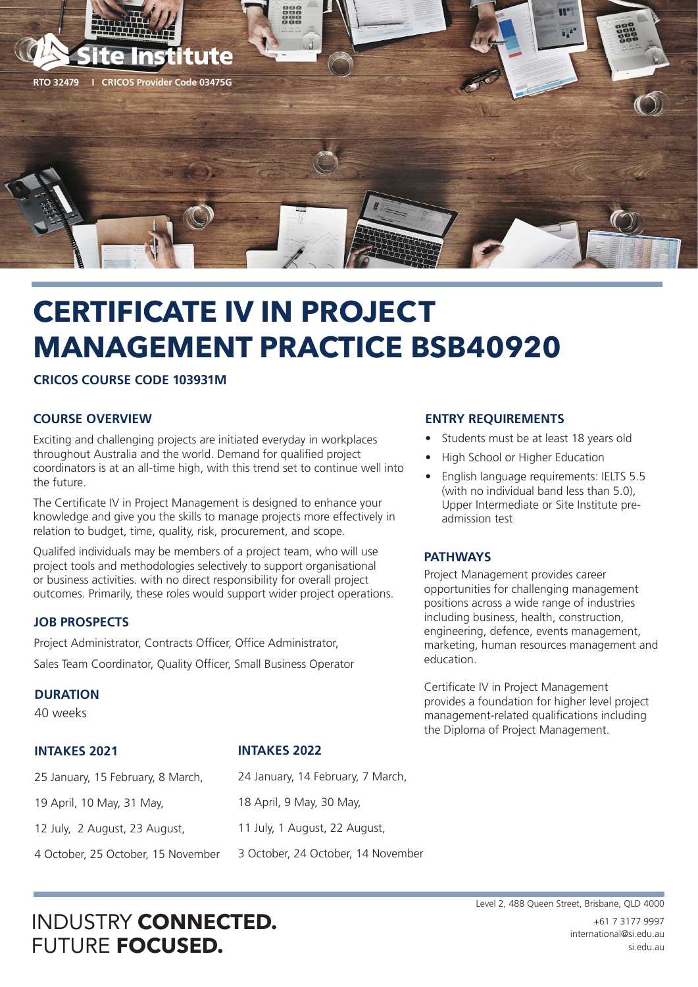

# **CERTIFICATE IV IN PROJECT MANAGEMENT PRACTICE BSB40920**

**CRICOS COURSE CODE 103931M**

#### **COURSE OVERVIEW**

Exciting and challenging projects are initiated everyday in workplaces throughout Australia and the world. Demand for qualified project coordinators is at an all-time high, with this trend set to continue well into the future.

The Certificate IV in Project Management is designed to enhance your knowledge and give you the skills to manage projects more effectively in relation to budget, time, quality, risk, procurement, and scope.

Qualifed individuals may be members of a project team, who will use project tools and methodologies selectively to support organisational or business activities. with no direct responsibility for overall project outcomes. Primarily, these roles would support wider project operations.

#### **JOB PROSPECTS**

Project Administrator, Contracts Officer, Office Administrator, Sales Team Coordinator, Quality Officer, Small Business Operator

#### **DURATION**

40 weeks

### **INTAKES 2021**

#### **INTAKES 2022**

| 25 January, 15 February, 8 March,  | 24 January, 14 February, 7 March,  |
|------------------------------------|------------------------------------|
| 19 April, 10 May, 31 May,          | 18 April, 9 May, 30 May,           |
| 12 July, 2 August, 23 August,      | 11 July, 1 August, 22 August,      |
| 4 October, 25 October, 15 November | 3 October, 24 October, 14 November |

#### **ENTRY REQUIREMENTS**

- Students must be at least 18 years old
- High School or Higher Education
- English language requirements: IELTS 5.5 (with no individual band less than 5.0), Upper Intermediate or Site Institute preadmission test

#### **PATHWAYS**

Project Management provides career opportunities for challenging management positions across a wide range of industries including business, health, construction, engineering, defence, events management, marketing, human resources management and education.

Certificate IV in Project Management provides a foundation for higher level project management-related qualifications including the Diploma of Project Management.

## INDUSTRY **CONNECTED.** FUTURE **FOCUSED.**